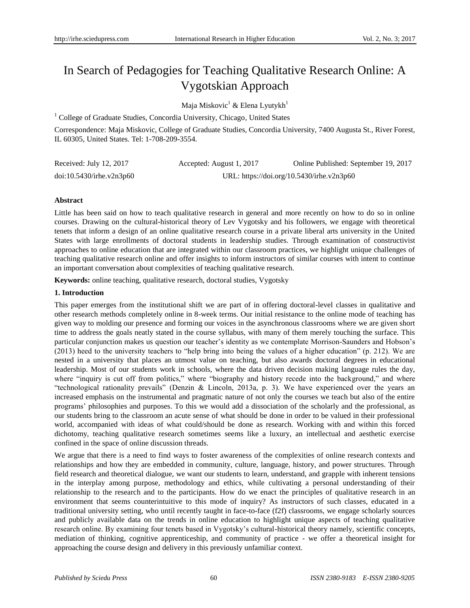# In Search of Pedagogies for Teaching Qualitative Research Online: A Vygotskian Approach

Maja Miskovic<sup>1</sup> & Elena Lyutykh<sup>1</sup>

<sup>1</sup> College of Graduate Studies, Concordia University, Chicago, United States

Correspondence: Maja Miskovic, College of Graduate Studies, Concordia University, 7400 Augusta St., River Forest, IL 60305, United States. Tel: 1-708-209-3554.

| Received: July 12, 2017  | Accepted: August 1, 2017                  | Online Published: September 19, 2017 |
|--------------------------|-------------------------------------------|--------------------------------------|
| doi:10.5430/irhe.v2n3p60 | URL: https://doi.org/10.5430/irhe.v2n3p60 |                                      |

### **Abstract**

Little has been said on how to teach qualitative research in general and more recently on how to do so in online courses. Drawing on the cultural-historical theory of Lev Vygotsky and his followers, we engage with theoretical tenets that inform a design of an online qualitative research course in a private liberal arts university in the United States with large enrollments of doctoral students in leadership studies. Through examination of constructivist approaches to online education that are integrated within our classroom practices, we highlight unique challenges of teaching qualitative research online and offer insights to inform instructors of similar courses with intent to continue an important conversation about complexities of teaching qualitative research.

**Keywords:** online teaching, qualitative research, doctoral studies, Vygotsky

## **1. Introduction**

This paper emerges from the institutional shift we are part of in offering doctoral-level classes in qualitative and other research methods completely online in 8-week terms. Our initial resistance to the online mode of teaching has given way to molding our presence and forming our voices in the asynchronous classrooms where we are given short time to address the goals neatly stated in the course syllabus, with many of them merely touching the surface. This particular conjunction makes us question our teacher"s identity as we contemplate Morrison-Saunders and Hobson"s (2013) heed to the university teachers to "help bring into being the values of a higher education" (p. 212). We are nested in a university that places an utmost value on teaching, but also awards doctoral degrees in educational leadership. Most of our students work in schools, where the data driven decision making language rules the day, where "inquiry is cut off from politics," where "biography and history recede into the background," and where "technological rationality prevails" (Denzin & Lincoln, 2013a, p. 3). We have experienced over the years an increased emphasis on the instrumental and pragmatic nature of not only the courses we teach but also of the entire programs" philosophies and purposes. To this we would add a dissociation of the scholarly and the professional, as our students bring to the classroom an acute sense of what should be done in order to be valued in their professional world, accompanied with ideas of what could/should be done as research. Working with and within this forced dichotomy, teaching qualitative research sometimes seems like a luxury, an intellectual and aesthetic exercise confined in the space of online discussion threads.

We argue that there is a need to find ways to foster awareness of the complexities of online research contexts and relationships and how they are embedded in community, culture, language, history, and power structures. Through field research and theoretical dialogue, we want our students to learn, understand, and grapple with inherent tensions in the interplay among purpose, methodology and ethics, while cultivating a personal understanding of their relationship to the research and to the participants. How do we enact the principles of qualitative research in an environment that seems counterintuitive to this mode of inquiry? As instructors of such classes, educated in a traditional university setting, who until recently taught in face-to-face (f2f) classrooms, we engage scholarly sources and publicly available data on the trends in online education to highlight unique aspects of teaching qualitative research online. By examining four tenets based in Vygotsky"s cultural-historical theory namely, scientific concepts, mediation of thinking, cognitive apprenticeship, and community of practice - we offer a theoretical insight for approaching the course design and delivery in this previously unfamiliar context.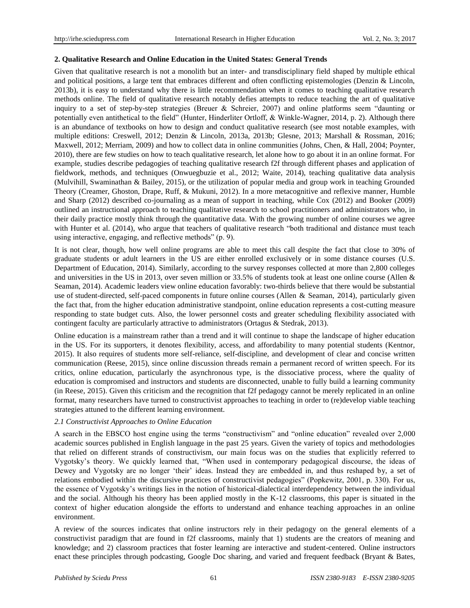## **2. Qualitative Research and Online Education in the United States: General Trends**

Given that qualitative research is not a monolith but an inter- and transdisciplinary field shaped by multiple ethical and political positions, a large tent that embraces different and often conflicting epistemologies (Denzin & Lincoln, 2013b), it is easy to understand why there is little recommendation when it comes to teaching qualitative research methods online. The field of qualitative research notably defies attempts to reduce teaching the art of qualitative inquiry to a set of step-by-step strategies (Breuer & Schreier, 2007) and online platforms seem "daunting or potentially even antithetical to the field" (Hunter, Hinderliter Ortloff, & Winkle-Wagner, 2014, p. 2). Although there is an abundance of textbooks on how to design and conduct qualitative research (see most notable examples, with multiple editions: Creswell, 2012; Denzin & Lincoln, 2013a, 2013b; Glesne, 2013; Marshall & Rossman, 2016; Maxwell, 2012; Merriam, 2009) and how to collect data in online communities (Johns, Chen, & Hall, 2004; Poynter, 2010), there are few studies on how to teach qualitative research, let alone how to go about it in an online format. For example, studies describe pedagogies of teaching qualitative research f2f through different phases and application of fieldwork, methods, and techniques (Onwuegbuzie et al., 2012; Waite, 2014), teaching qualitative data analysis (Mulvihill, Swaminathan & Bailey, 2015), or the utilization of popular media and group work in teaching Grounded Theory (Creamer, Ghoston, Drape, Ruff, & Mukuni, 2012). In a more metacognitive and reflexive manner, Humble and Sharp (2012) described co-journaling as a mean of support in teaching, while Cox (2012) and Booker (2009) outlined an instructional approach to teaching qualitative research to school practitioners and administrators who, in their daily practice mostly think through the quantitative data. With the growing number of online courses we agree with Hunter et al. (2014), who argue that teachers of qualitative research "both traditional and distance must teach using interactive, engaging, and reflective methods" (p. 9).

It is not clear, though, how well online programs are able to meet this call despite the fact that close to 30% of graduate students or adult learners in the US are either enrolled exclusively or in some distance courses (U.S. Department of Education, 2014). Similarly, according to the survey responses collected at more than 2,800 colleges and universities in the US in 2013, over seven million or 33.5% of students took at least one online course (Allen & Seaman, 2014). Academic leaders view online education favorably: two-thirds believe that there would be substantial use of student-directed, self-paced components in future online courses (Allen & Seaman, 2014), particularly given the fact that, from the higher education administrative standpoint, online education represents a cost-cutting measure responding to state budget cuts. Also, the lower personnel costs and greater scheduling flexibility associated with contingent faculty are particularly attractive to administrators (Ortagus & Stedrak, 2013).

Online education is a mainstream rather than a trend and it will continue to shape the landscape of higher education in the US. For its supporters, it denotes flexibility, access, and affordability to many potential students (Kentnor, 2015). It also requires of students more self-reliance, self-discipline, and development of clear and concise written communication (Reese, 2015), since online discussion threads remain a permanent record of written speech. For its critics, online education, particularly the asynchronous type, is the dissociative process, where the quality of education is compromised and instructors and students are disconnected, unable to fully build a learning community (in Reese, 2015). Given this criticism and the recognition that f2f pedagogy cannot be merely replicated in an online format, many researchers have turned to constructivist approaches to teaching in order to (re)develop viable teaching strategies attuned to the different learning environment.

# *2.1 Constructivist Approaches to Online Education*

A search in the EBSCO host engine using the terms "constructivism" and "online education" revealed over 2,000 academic sources published in English language in the past 25 years. Given the variety of topics and methodologies that relied on different strands of constructivism, our main focus was on the studies that explicitly referred to Vygotsky"s theory. We quickly learned that, "When used in contemporary pedagogical discourse, the ideas of Dewey and Vygotsky are no longer "their" ideas. Instead they are embedded in, and thus reshaped by, a set of relations embodied within the discursive practices of constructivist pedagogies" (Popkewitz, 2001, p. 330). For us, the essence of Vygotsky"s writings lies in the notion of historical-dialectical interdependency between the individual and the social. Although his theory has been applied mostly in the K-12 classrooms, this paper is situated in the context of higher education alongside the efforts to understand and enhance teaching approaches in an online environment.

A review of the sources indicates that online instructors rely in their pedagogy on the general elements of a constructivist paradigm that are found in f2f classrooms, mainly that 1) students are the creators of meaning and knowledge; and 2) classroom practices that foster learning are interactive and student-centered. Online instructors enact these principles through podcasting, Google Doc sharing, and varied and frequent feedback (Bryant & Bates,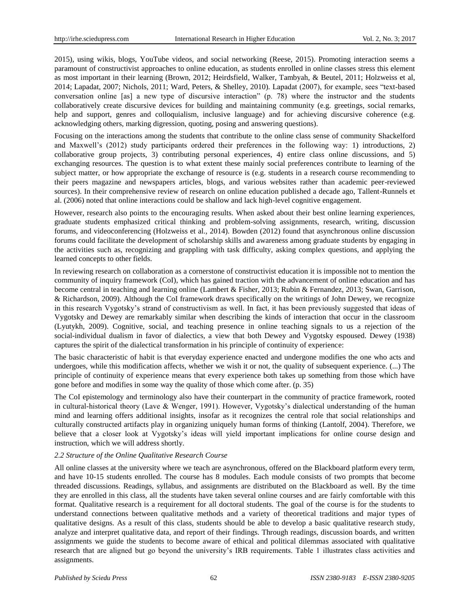2015), using wikis, blogs, YouTube videos, and social networking (Reese, 2015). Promoting interaction seems a paramount of constructivist approaches to online education, as students enrolled in online classes stress this element as most important in their learning (Brown, 2012; Heirdsfield, Walker, Tambyah, & Beutel, 2011; Holzweiss et al, 2014; Lapadat, 2007; Nichols, 2011; Ward, Peters, & Shelley, 2010). Lapadat (2007), for example, sees "text-based conversation online [as] a new type of discursive interaction" (p. 78) where the instructor and the students collaboratively create discursive devices for building and maintaining community (e.g. greetings, social remarks, help and support, genres and colloquialism, inclusive language) and for achieving discursive coherence (e.g. acknowledging others, marking digression, quoting, posing and answering questions).

Focusing on the interactions among the students that contribute to the online class sense of community Shackelford and Maxwell"s (2012) study participants ordered their preferences in the following way: 1) introductions, 2) collaborative group projects, 3) contributing personal experiences, 4) entire class online discussions, and 5) exchanging resources. The question is to what extent these mainly social preferences contribute to learning of the subject matter, or how appropriate the exchange of resource is (e.g. students in a research course recommending to their peers magazine and newspapers articles, blogs, and various websites rather than academic peer-reviewed sources). In their comprehensive review of research on online education published a decade ago, Tallent-Runnels et al. (2006) noted that online interactions could be shallow and lack high-level cognitive engagement.

However, research also points to the encouraging results. When asked about their best online learning experiences, graduate students emphasized critical thinking and problem-solving assignments, research, writing, discussion forums, and videoconferencing (Holzweiss et al., 2014). Bowden (2012) found that asynchronous online discussion forums could facilitate the development of scholarship skills and awareness among graduate students by engaging in the activities such as, recognizing and grappling with task difficulty, asking complex questions, and applying the learned concepts to other fields.

In reviewing research on collaboration as a cornerstone of constructivist education it is impossible not to mention the community of inquiry framework (CoI), which has gained traction with the advancement of online education and has become central in teaching and learning online (Lambert & Fisher, 2013; Rubin & Fernandez, 2013; Swan, Garrison, & Richardson, 2009). Although the CoI framework draws specifically on the writings of John Dewey, we recognize in this research Vygotsky"s strand of constructivism as well. In fact, it has been previously suggested that ideas of Vygotsky and Dewey are remarkably similar when describing the kinds of interaction that occur in the classroom (Lyutykh, 2009). Cognitive, social, and teaching presence in online teaching signals to us a rejection of the social-individual dualism in favor of dialectics, a view that both Dewey and Vygotsky espoused. Dewey (1938) captures the spirit of the dialectical transformation in his principle of continuity of experience:

The basic characteristic of habit is that everyday experience enacted and undergone modifies the one who acts and undergoes, while this modification affects, whether we wish it or not, the quality of subsequent experience. (...) The principle of continuity of experience means that every experience both takes up something from those which have gone before and modifies in some way the quality of those which come after. (p. 35)

The CoI epistemology and terminology also have their counterpart in the community of practice framework, rooted in cultural-historical theory (Lave & Wenger, 1991). However, Vygotsky's dialectical understanding of the human mind and learning offers additional insights, insofar as it recognizes the central role that social relationships and culturally constructed artifacts play in organizing uniquely human forms of thinking (Lantolf, 2004). Therefore, we believe that a closer look at Vygotsky"s ideas will yield important implications for online course design and instruction, which we will address shortly.

### *2.2 Structure of the Online Qualitative Research Course*

All online classes at the university where we teach are asynchronous, offered on the Blackboard platform every term, and have 10-15 students enrolled. The course has 8 modules. Each module consists of two prompts that become threaded discussions. Readings, syllabus, and assignments are distributed on the Blackboard as well. By the time they are enrolled in this class, all the students have taken several online courses and are fairly comfortable with this format. Qualitative research is a requirement for all doctoral students. The goal of the course is for the students to understand connections between qualitative methods and a variety of theoretical traditions and major types of qualitative designs. As a result of this class, students should be able to develop a basic qualitative research study, analyze and interpret qualitative data, and report of their findings. Through readings, discussion boards, and written assignments we guide the students to become aware of ethical and political dilemmas associated with qualitative research that are aligned but go beyond the university"s IRB requirements. Table 1 illustrates class activities and assignments.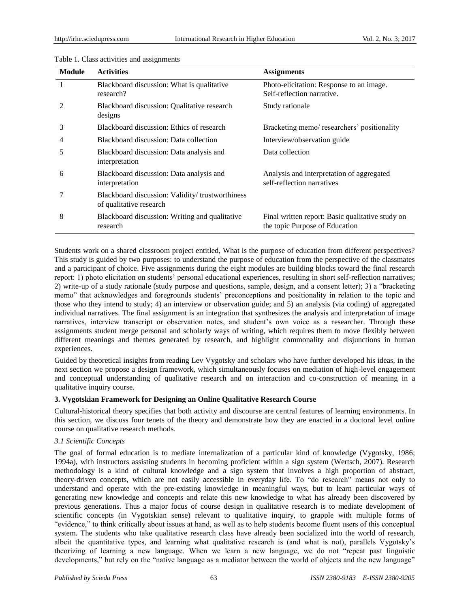| <b>Module</b> | <b>Activities</b>                                                          | <b>Assignments</b>                                                                 |
|---------------|----------------------------------------------------------------------------|------------------------------------------------------------------------------------|
| -1            | Blackboard discussion: What is qualitative<br>research?                    | Photo-elicitation: Response to an image.<br>Self-reflection narrative.             |
| 2             | Blackboard discussion: Qualitative research<br>designs                     | Study rationale                                                                    |
| 3             | Blackboard discussion: Ethics of research                                  | Bracketing memo/ researchers' positionality                                        |
|               | Blackboard discussion: Data collection                                     | Interview/observation guide                                                        |
| 5             | Blackboard discussion: Data analysis and<br>interpretation                 | Data collection                                                                    |
| 6             | Blackboard discussion: Data analysis and<br>interpretation                 | Analysis and interpretation of aggregated<br>self-reflection narratives            |
|               | Blackboard discussion: Validity/trustworthiness<br>of qualitative research |                                                                                    |
| 8             | Blackboard discussion: Writing and qualitative<br>research                 | Final written report: Basic qualitative study on<br>the topic Purpose of Education |

#### Table 1. Class activities and assignments

Students work on a shared classroom project entitled, What is the purpose of education from different perspectives? This study is guided by two purposes: to understand the purpose of education from the perspective of the classmates and a participant of choice. Five assignments during the eight modules are building blocks toward the final research report: 1) photo elicitation on students" personal educational experiences, resulting in short self-reflection narratives; 2) write-up of a study rationale (study purpose and questions, sample, design, and a consent letter); 3) a "bracketing memo" that acknowledges and foregrounds students" preconceptions and positionality in relation to the topic and those who they intend to study; 4) an interview or observation guide; and 5) an analysis (via coding) of aggregated individual narratives. The final assignment is an integration that synthesizes the analysis and interpretation of image narratives, interview transcript or observation notes, and student"s own voice as a researcher. Through these assignments student merge personal and scholarly ways of writing, which requires them to move flexibly between different meanings and themes generated by research, and highlight commonality and disjunctions in human experiences.

Guided by theoretical insights from reading Lev Vygotsky and scholars who have further developed his ideas, in the next section we propose a design framework, which simultaneously focuses on mediation of high-level engagement and conceptual understanding of qualitative research and on interaction and co-construction of meaning in a qualitative inquiry course.

## **3. Vygotskian Framework for Designing an Online Qualitative Research Course**

Cultural-historical theory specifies that both activity and discourse are central features of learning environments. In this section, we discuss four tenets of the theory and demonstrate how they are enacted in a doctoral level online course on qualitative research methods.

## *3.1 Scientific Concepts*

The goal of formal education is to mediate internalization of a particular kind of knowledge (Vygotsky, 1986; 1994a), with instructors assisting students in becoming proficient within a sign system (Wertsch, 2007). Research methodology is a kind of cultural knowledge and a sign system that involves a high proportion of abstract, theory-driven concepts, which are not easily accessible in everyday life. To "do research" means not only to understand and operate with the pre-existing knowledge in meaningful ways, but to learn particular ways of generating new knowledge and concepts and relate this new knowledge to what has already been discovered by previous generations. Thus a major focus of course design in qualitative research is to mediate development of scientific concepts (in Vygotskian sense) relevant to qualitative inquiry, to grapple with multiple forms of "evidence," to think critically about issues at hand, as well as to help students become fluent users of this conceptual system. The students who take qualitative research class have already been socialized into the world of research, albeit the quantitative types, and learning what qualitative research is (and what is not), parallels Vygotsky"s theorizing of learning a new language. When we learn a new language, we do not "repeat past linguistic developments," but rely on the "native language as a mediator between the world of objects and the new language"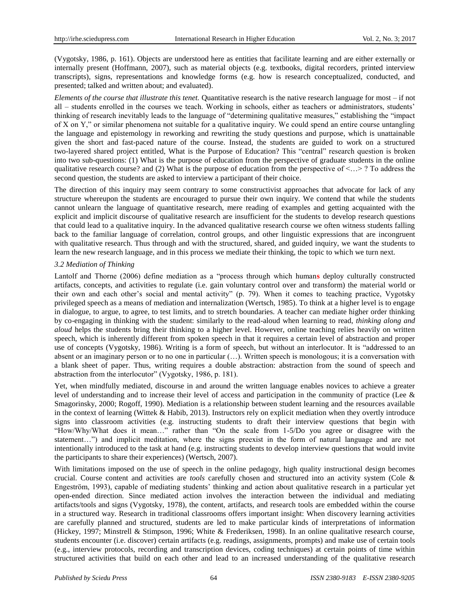(Vygotsky, 1986, p. 161). Objects are understood here as entities that facilitate learning and are either externally or internally present (Hoffmann, 2007), such as material objects (e.g. textbooks, digital recorders, printed interview transcripts), signs, representations and knowledge forms (e.g. how is research conceptualized, conducted, and presented; talked and written about; and evaluated).

*Elements of the course that illustrate this tenet.* Quantitative research is the native research language for most – if not all – students enrolled in the courses we teach. Working in schools, either as teachers or administrators, students' thinking of research inevitably leads to the language of "determining qualitative measures," establishing the "impact of X on Y," or similar phenomena not suitable for a qualitative inquiry. We could spend an entire course untangling the language and epistemology in reworking and rewriting the study questions and purpose, which is unattainable given the short and fast-paced nature of the course. Instead, the students are guided to work on a structured two-layered shared project entitled, What is the Purpose of Education? This "central" research question is broken into two sub-questions: (1) What is the purpose of education from the perspective of graduate students in the online qualitative research course? and (2) What is the purpose of education from the perspective of  $\langle \dots \rangle$ ? To address the second question, the students are asked to interview a participant of their choice.

The direction of this inquiry may seem contrary to some constructivist approaches that advocate for lack of any structure whereupon the students are encouraged to pursue their own inquiry. We contend that while the students cannot unlearn the language of quantitative research, mere reading of examples and getting acquainted with the explicit and implicit discourse of qualitative research are insufficient for the students to develop research questions that could lead to a qualitative inquiry. In the advanced qualitative research course we often witness students falling back to the familiar language of correlation, control groups, and other linguistic expressions that are incongruent with qualitative research. Thus through and with the structured, shared, and guided inquiry, we want the students to learn the new research language, and in this process we mediate their thinking, the topic to which we turn next.

# *3.2 Mediation of Thinking*

Lantolf and Thorne (2006) define mediation as a "process through which human**s** deploy culturally constructed artifacts, concepts, and activities to regulate (i.e. gain voluntary control over and transform) the material world or their own and each other"s social and mental activity" (p. 79). When it comes to teaching practice, Vygotsky privileged speech as a means of mediation and internalization (Wertsch, 1985). To think at a higher level is to engage in dialogue, to argue, to agree, to test limits, and to stretch boundaries. A teacher can mediate higher order thinking by co-engaging in thinking with the student: similarly to the read-aloud when learning to read, *thinking along and aloud* helps the students bring their thinking to a higher level. However, online teaching relies heavily on written speech, which is inherently different from spoken speech in that it requires a certain level of abstraction and proper use of concepts (Vygotsky, 1986). Writing is a form of speech, but without an interlocutor. It is "addressed to an absent or an imaginary person or to no one in particular (…). Written speech is monologous; it is a conversation with a blank sheet of paper. Thus, writing requires a double abstraction: abstraction from the sound of speech and abstraction from the interlocutor" (Vygotsky, 1986, p. 181).

Yet, when mindfully mediated, discourse in and around the written language enables novices to achieve a greater level of understanding and to increase their level of access and participation in the community of practice (Lee & Smagorinsky, 2000; Rogoff, 1990). Mediation is a relationship between student learning and the resources available in the context of learning (Wittek & Habib, 2013). Instructors rely on explicit mediation when they overtly introduce signs into classroom activities (e.g. instructing students to draft their interview questions that begin with "How/Why/What does it mean…" rather than "On the scale from 1-5/Do you agree or disagree with the statement…") and implicit meditation, where the signs preexist in the form of natural language and are not intentionally introduced to the task at hand (e.g. instructing students to develop interview questions that would invite the participants to share their experiences) (Wertsch, 2007).

With limitations imposed on the use of speech in the online pedagogy, high quality instructional design becomes crucial. Course content and activities are *tools* carefully chosen and structured into an activity system (Cole & Engeström, 1993), capable of mediating students" thinking and action about qualitative research in a particular yet open-ended direction. Since mediated action involves the interaction between the individual and mediating artifacts/tools and signs (Vygotsky, 1978), the content, artifacts, and research tools are embedded within the course in a structured way. Research in traditional classrooms offers important insight: When discovery learning activities are carefully planned and structured, students are led to make particular kinds of interpretations of information (Hickey, 1997; Minstrell & Stimpson, 1996; White & Frederiksen, 1998). In an online qualitative research course, students encounter (i.e. discover) certain artifacts (e.g. readings, assignments, prompts) and make use of certain tools (e.g., interview protocols, recording and transcription devices, coding techniques) at certain points of time within structured activities that build on each other and lead to an increased understanding of the qualitative research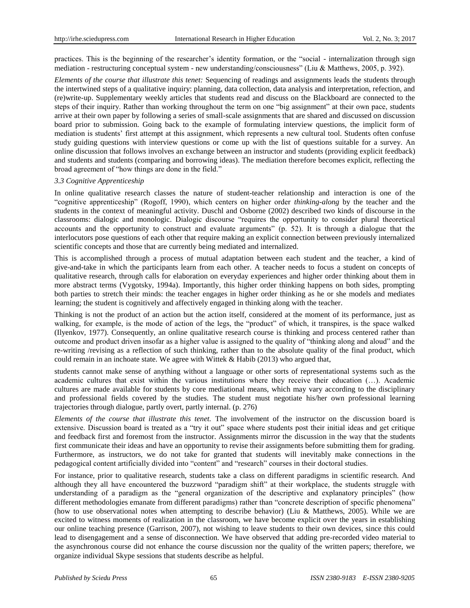practices. This is the beginning of the researcher"s identity formation, or the "social - internalization through sign mediation - restructuring conceptual system - new understanding/consciousness" (Liu & Matthews, 2005, p. 392).

*Elements of the course that illustrate this tenet:* Sequencing of readings and assignments leads the students through the intertwined steps of a qualitative inquiry: planning, data collection, data analysis and interpretation, refection, and (re)write-up. Supplementary weekly articles that students read and discuss on the Blackboard are connected to the steps of their inquiry. Rather than working throughout the term on one "big assignment" at their own pace, students arrive at their own paper by following a series of small-scale assignments that are shared and discussed on discussion board prior to submission. Going back to the example of formulating interview questions, the implicit form of mediation is students" first attempt at this assignment, which represents a new cultural tool. Students often confuse study guiding questions with interview questions or come up with the list of questions suitable for a survey. An online discussion that follows involves an exchange between an instructor and students (providing explicit feedback) and students and students (comparing and borrowing ideas). The mediation therefore becomes explicit, reflecting the broad agreement of "how things are done in the field."

### *3.3 Cognitive Apprenticeship*

In online qualitative research classes the nature of student-teacher relationship and interaction is one of the "cognitive apprenticeship" (Rogoff, 1990), which centers on higher order *thinking-along* by the teacher and the students in the context of meaningful activity. Duschl and Osborne (2002) described two kinds of discourse in the classrooms: dialogic and monologic. Dialogic discourse "requires the opportunity to consider plural theoretical accounts and the opportunity to construct and evaluate arguments" (p. 52). It is through a dialogue that the interlocutors pose questions of each other that require making an explicit connection between previously internalized scientific concepts and those that are currently being mediated and internalized.

This is accomplished through a process of mutual adaptation between each student and the teacher, a kind of give-and-take in which the participants learn from each other. A teacher needs to focus a student on concepts of qualitative research, through calls for elaboration on everyday experiences and higher order thinking about them in more abstract terms (Vygotsky, 1994a). Importantly, this higher order thinking happens on both sides, prompting both parties to stretch their minds: the teacher engages in higher order thinking as he or she models and mediates learning; the student is cognitively and affectively engaged in thinking along with the teacher.

Thinking is not the product of an action but the action itself, considered at the moment of its performance, just as walking, for example, is the mode of action of the legs, the "product" of which, it transpires, is the space walked (Ilyenkov, 1977). Consequently, an online qualitative research course is thinking and process centered rather than outcome and product driven insofar as a higher value is assigned to the quality of "thinking along and aloud" and the re-writing /revising as a reflection of such thinking, rather than to the absolute quality of the final product, which could remain in an inchoate state. We agree with Wittek  $&$  Habib (2013) who argued that,

students cannot make sense of anything without a language or other sorts of representational systems such as the academic cultures that exist within the various institutions where they receive their education (…). Academic cultures are made available for students by core mediational means, which may vary according to the disciplinary and professional fields covered by the studies*.* The student must negotiate his/her own professional learning trajectories through dialogue, partly overt, partly internal. (p. 276)

*Elements of the course that illustrate this tenet.* The involvement of the instructor on the discussion board is extensive. Discussion board is treated as a "try it out" space where students post their initial ideas and get critique and feedback first and foremost from the instructor. Assignments mirror the discussion in the way that the students first communicate their ideas and have an opportunity to revise their assignments before submitting them for grading. Furthermore, as instructors, we do not take for granted that students will inevitably make connections in the pedagogical content artificially divided into "content" and "research" courses in their doctoral studies.

For instance, prior to qualitative research, students take a class on different paradigms in scientific research. And although they all have encountered the buzzword "paradigm shift" at their workplace, the students struggle with understanding of a paradigm as the "general organization of the descriptive and explanatory principles" (how different methodologies emanate from different paradigms) rather than "concrete description of specific phenomena" (how to use observational notes when attempting to describe behavior) (Liu & Matthews, 2005). While we are excited to witness moments of realization in the classroom, we have become explicit over the years in establishing our online teaching presence (Garrison, 2007), not wishing to leave students to their own devices, since this could lead to disengagement and a sense of disconnection. We have observed that adding pre-recorded video material to the asynchronous course did not enhance the course discussion nor the quality of the written papers; therefore, we organize individual Skype sessions that students describe as helpful.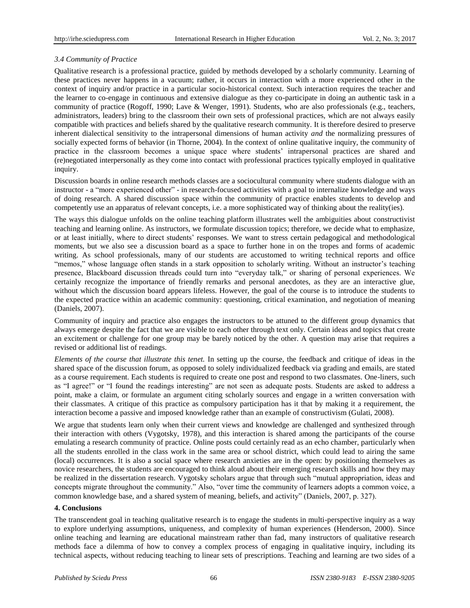# *3.4 Community of Practice*

Qualitative research is a professional practice, guided by methods developed by a scholarly community. Learning of these practices never happens in a vacuum; rather, it occurs in interaction with a more experienced other in the context of inquiry and/or practice in a particular socio-historical context. Such interaction requires the teacher and the learner to co-engage in continuous and extensive dialogue as they co-participate in doing an authentic task in a community of practice (Rogoff, 1990; Lave & Wenger, 1991). Students, who are also professionals (e.g., teachers, administrators, leaders) bring to the classroom their own sets of professional practices, which are not always easily compatible with practices and beliefs shared by the qualitative research community. It is therefore desired to preserve inherent dialectical sensitivity to the intrapersonal dimensions of human activity *and* the normalizing pressures of socially expected forms of behavior (in Thorne, 2004). In the context of online qualitative inquiry, the community of practice in the classroom becomes a unique space where students" intrapersonal practices are shared and (re)negotiated interpersonally as they come into contact with professional practices typically employed in qualitative inquiry.

Discussion boards in online research methods classes are a sociocultural community where students dialogue with an instructor - a "more experienced other" - in research-focused activities with a goal to internalize knowledge and ways of doing research. A shared discussion space within the community of practice enables students to develop and competently use an apparatus of relevant concepts, i.e. a more sophisticated way of thinking about the reality(ies).

The ways this dialogue unfolds on the online teaching platform illustrates well the ambiguities about constructivist teaching and learning online. As instructors, we formulate discussion topics; therefore, we decide what to emphasize, or at least initially, where to direct students" responses. We want to stress certain pedagogical and methodological moments, but we also see a discussion board as a space to further hone in on the tropes and forms of academic writing. As school professionals, many of our students are accustomed to writing technical reports and office "memos," whose language often stands in a stark opposition to scholarly writing. Without an instructor's teaching presence, Blackboard discussion threads could turn into "everyday talk," or sharing of personal experiences. We certainly recognize the importance of friendly remarks and personal anecdotes, as they are an interactive glue, without which the discussion board appears lifeless. However, the goal of the course is to introduce the students to the expected practice within an academic community: questioning, critical examination, and negotiation of meaning (Daniels, 2007).

Community of inquiry and practice also engages the instructors to be attuned to the different group dynamics that always emerge despite the fact that we are visible to each other through text only. Certain ideas and topics that create an excitement or challenge for one group may be barely noticed by the other. A question may arise that requires a revised or additional list of readings.

*Elements of the course that illustrate this tenet.* In setting up the course, the feedback and critique of ideas in the shared space of the discussion forum, as opposed to solely individualized feedback via grading and emails, are stated as a course requirement. Each students is required to create one post and respond to two classmates. One-liners, such as "I agree!" or "I found the readings interesting" are not seen as adequate posts. Students are asked to address a point, make a claim, or formulate an argument citing scholarly sources and engage in a written conversation with their classmates. A critique of this practice as compulsory participation has it that by making it a requirement, the interaction become a passive and imposed knowledge rather than an example of constructivism (Gulati, 2008).

We argue that students learn only when their current views and knowledge are challenged and synthesized through their interaction with others (Vygotsky, 1978), and this interaction is shared among the participants of the course emulating a research community of practice. Online posts could certainly read as an echo chamber, particularly when all the students enrolled in the class work in the same area or school district, which could lead to airing the same (local) occurrences. It is also a social space where research anxieties are in the open: by positioning themselves as novice researchers, the students are encouraged to think aloud about their emerging research skills and how they may be realized in the dissertation research. Vygotsky scholars argue that through such "mutual appropriation, ideas and concepts migrate throughout the community." Also, "over time the community of learners adopts a common voice, a common knowledge base, and a shared system of meaning, beliefs, and activity" (Daniels, 2007, p. 327).

# **4. Conclusions**

The transcendent goal in teaching qualitative research is to engage the students in multi-perspective inquiry as a way to explore underlying assumptions, uniqueness, and complexity of human experiences (Henderson, 2000). Since online teaching and learning are educational mainstream rather than fad, many instructors of qualitative research methods face a dilemma of how to convey a complex process of engaging in qualitative inquiry, including its technical aspects, without reducing teaching to linear sets of prescriptions. Teaching and learning are two sides of a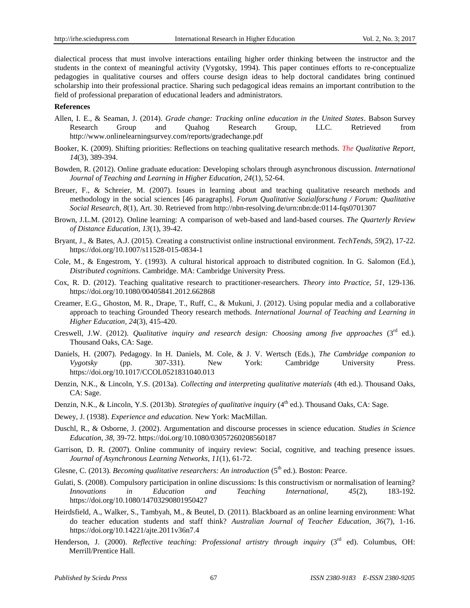dialectical process that must involve interactions entailing higher order thinking between the instructor and the students in the context of meaningful activity (Vygotsky, 1994). This paper continues efforts to re-conceptualize pedagogies in qualitative courses and offers course design ideas to help doctoral candidates bring continued scholarship into their professional practice. Sharing such pedagogical ideas remains an important contribution to the field of professional preparation of educational leaders and administrators.

#### **References**

- Allen, I. E., & Seaman, J. (2014). *Grade change: Tracking online education in the United States*. Babson Survey Research Group and Quahog Research Group, LLC. Retrieved from http://www.onlinelearningsurvey.com/reports/gradechange.pdf
- Booker, K. (2009). Shifting priorities: Reflections on teaching qualitative research methods. *The Qualitative Report, 14*(3), 389-394.
- Bowden, R. (2012). Online graduate education: Developing scholars through asynchronous discussion. *International Journal of Teaching and Learning in Higher Education, 24*(1), 52-64.
- Breuer, F., & Schreier, M. (2007). Issues in learning about and teaching qualitative research methods and methodology in the social sciences [46 paragraphs]. *Forum Qualitative Sozialforschung / Forum: Qualitative Social Research, 8*(1), Art. 30. Retrieved from<http://nbn-resolving.de/urn:nbn:de:0114-fqs0701307>
- Brown, J.L.M. (2012). Online learning: A comparison of web-based and land-based courses. *The Quarterly Review of Distance Education, 13*(1), 39-42.
- Bryant, J., & Bates, A.J. (2015). Creating a constructivist online instructional environment. *TechTends, 59*(2), 17-22. https://doi.org/10.1007/s11528-015-0834-1
- Cole, M., & Engestrom, Y. (1993). A cultural historical approach to distributed cognition. In G. Salomon (Ed.), *Distributed cognitions.* Cambridge. MA: Cambridge University Press.
- Cox, R. D. (2012). Teaching qualitative research to practitioner-researchers. *Theory into Practice, 51*, 129-136. https://doi.org/10.1080/00405841.2012.662868
- Creamer, E.G., Ghoston, M. R., Drape, T., Ruff, C., & Mukuni, J. (2012). Using popular media and a collaborative approach to teaching Grounded Theory research methods. *International Journal of Teaching and Learning in Higher Education, 24*(3), 415-420.
- Creswell, J.W. (2012). *Qualitative inquiry and research design: Choosing among five approaches* (3rd ed.). Thousand Oaks, CA: Sage.
- Daniels, H. (2007). Pedagogy. In H. Daniels, M. Cole, & J. V. Wertsch (Eds.), *The Cambridge companion to Vygotsky* (pp. 307-331). New York: Cambridge University Press. https://doi.org/10.1017/CCOL0521831040.013
- Denzin, N.K., & Lincoln, Y.S. (2013a). *Collecting and interpreting qualitative materials* (4th ed.). Thousand Oaks, CA: Sage.
- Denzin, N.K., & Lincoln, Y.S. (2013b). *Strategies of qualitative inquiry* (4<sup>th</sup> ed.). Thousand Oaks, CA: Sage.
- Dewey, J. (1938). *Experience and education.* New York: MacMillan.
- Duschl, R., & Osborne, J. (2002). Argumentation and discourse processes in science education. *Studies in Science Education, 38,* 39-72. https://doi.org/10.1080/03057260208560187
- Garrison, D. R. (2007). Online community of inquiry review: Social, cognitive, and teaching presence issues. *Journal of Asynchronous Learning Networks*, *11*(1), 61-72.
- Glesne, C. (2013). *Becoming qualitative researchers: An introduction* (5<sup>th</sup> ed.). Boston: Pearce.
- Gulati, S. (2008). Compulsory participation in online discussions: Is this constructivism or normalisation of learning? *Innovations in Education and Teaching International, 45*(2), 183-192. https://doi.org/10.1080/14703290801950427
- Heirdsfield, A., Walker, S., Tambyah, M., & Beutel, D. (2011). Blackboard as an online learning environment: What do teacher education students and staff think? *Australian Journal of Teacher Education, 36*(7), 1-16. https://doi.org/10.14221/ajte.2011v36n7.4
- Henderson, J. (2000). *Reflective teaching: Professional artistry through inquiry* (3<sup>rd</sup> ed). Columbus, OH: Merrill/Prentice Hall.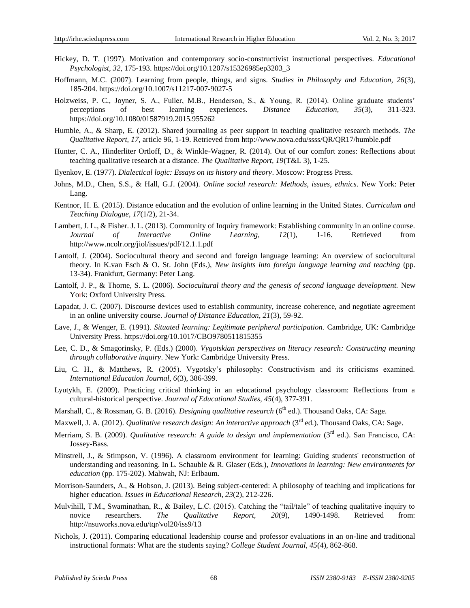- Hickey, D. T. (1997). Motivation and contemporary socio-constructivist instructional perspectives. *Educational Psychologist, 32*, 175-193. https://doi.org/10.1207/s15326985ep3203\_3
- Hoffmann, M.C. (2007). Learning from people, things, and signs. *Studies in Philosophy and Education, 26*(3), 185-204. https://doi.org/10.1007/s11217-007-9027-5
- Holzweiss, P. C., Joyner, S. A., Fuller, M.B., Henderson, S., & Young, R. (2014). Online graduate students' perceptions of best learning experiences. *Distance Education.* 35(3), 311-323. perceptions of best learning experiences. *Distance Education, 35*(3), 311-323. https://doi.org/10.1080/01587919.2015.955262
- Humble, A., & Sharp, E. (2012). Shared journaling as peer support in teaching qualitative research methods. *The Qualitative Report, 17*, article 96, 1-19. Retrieved from http://www.nova.edu/ssss/QR/QR17/humble.pdf
- Hunter, C. A., Hinderliter Ortloff, D., & Winkle-Wagner, R. (2014). Out of our comfort zones: Reflections about teaching qualitative research at a distance. *The Qualitative Report, 19*(T&L 3), 1-25.
- Ilyenkov, E. (1977). *Dialectical logic: Essays on its history and theory*. Moscow: Progress Press.
- Johns, M.D., Chen, S.S., & Hall, G.J. (2004). *Online social research: Methods, issues, ethnics*. New York: Peter Lang.
- Kentnor, H. E. (2015). Distance education and the evolution of online learning in the United States. *Curriculum and Teaching Dialogue, 17*(1/2), 21-34.
- Lambert, J. L., & Fisher. J. L. (2013). Community of Inquiry framework: Establishing community in an online course. *Journal of Interactive Online Learning, 12*(1), 1-16. Retrieved from <http://www.ncolr.org/jiol/issues/pdf/12.1.1.pdf>
- Lantolf, J. (2004). Sociocultural theory and second and foreign language learning: An overview of sociocultural theory. In K.van Esch & O. St. John (Eds.), *New insights into foreign language learning and teaching* (pp. 13-34). Frankfurt, Germany: Peter Lang.
- Lantolf, J. P., & Thorne, S. L. (2006). *Sociocultural theory and the genesis of second language development.* New York: Oxford University Press.
- Lapadat, J. C. (2007). Discourse devices used to establish community, increase coherence, and negotiate agreement in an online university course. *Journal of Distance Education, 21*(3), 59-92.
- Lave, J., & Wenger, E. (1991). *Situated learning: Legitimate peripheral participation.* Cambridge, UK: Cambridge University Press. https://doi.org/10.1017/CBO9780511815355
- Lee, C. D., & Smagorinsky, P. (Eds.) (2000). *Vygotskian perspectives on literacy research: Constructing meaning through collaborative inquiry*. New York: Cambridge University Press.
- Liu, C. H., & Matthews, R. (2005). Vygotsky"s philosophy: Constructivism and its criticisms examined. *International Education Journal, 6*(3), 386-399.
- Lyutykh, E. (2009). Practicing critical thinking in an educational psychology classroom: Reflections from a cultural-historical perspective. *Journal of Educational Studies, 45*(4), 377-391.
- Marshall, C., & Rossman, G. B. (2016). *Designing qualitative research* (6<sup>th</sup> ed.). Thousand Oaks, CA: Sage.
- Maxwell, J. A. (2012). *Qualitative research design: An interactive approach* (3rd ed.). Thousand Oaks, CA: Sage.
- Merriam, S. B. (2009). *Qualitative research: A guide to design and implementation* (3<sup>rd</sup> ed.). San Francisco, CA: Jossey-Bass.
- Minstrell, J., & Stimpson, V. (1996). A classroom environment for learning: Guiding students' reconstruction of understanding and reasoning. In L. Schauble & R. Glaser (Eds.), *Innovations in learning: New environments for education* (pp. 175-202). Mahwah, NJ: Erlbaum.
- Morrison-Saunders, A., & Hobson, J. (2013). Being subject-centered: A philosophy of teaching and implications for higher education. *Issues in Educational Research, 23*(2), 212-226.
- Mulvihill, T.M., Swaminathan, R., & Bailey, L.C. (2015). Catching the "tail/tale" of teaching qualitative inquiry to novice researchers. *The Qualitative Report, 20*(9), 1490-1498. Retrieved from: http://nsuworks.nova.edu/tqr/vol20/iss9/13
- Nichols, J. (2011). Comparing educational leadership course and professor evaluations in an on-line and traditional instructional formats: What are the students saying? *College Student Journal, 45*(4), 862-868.